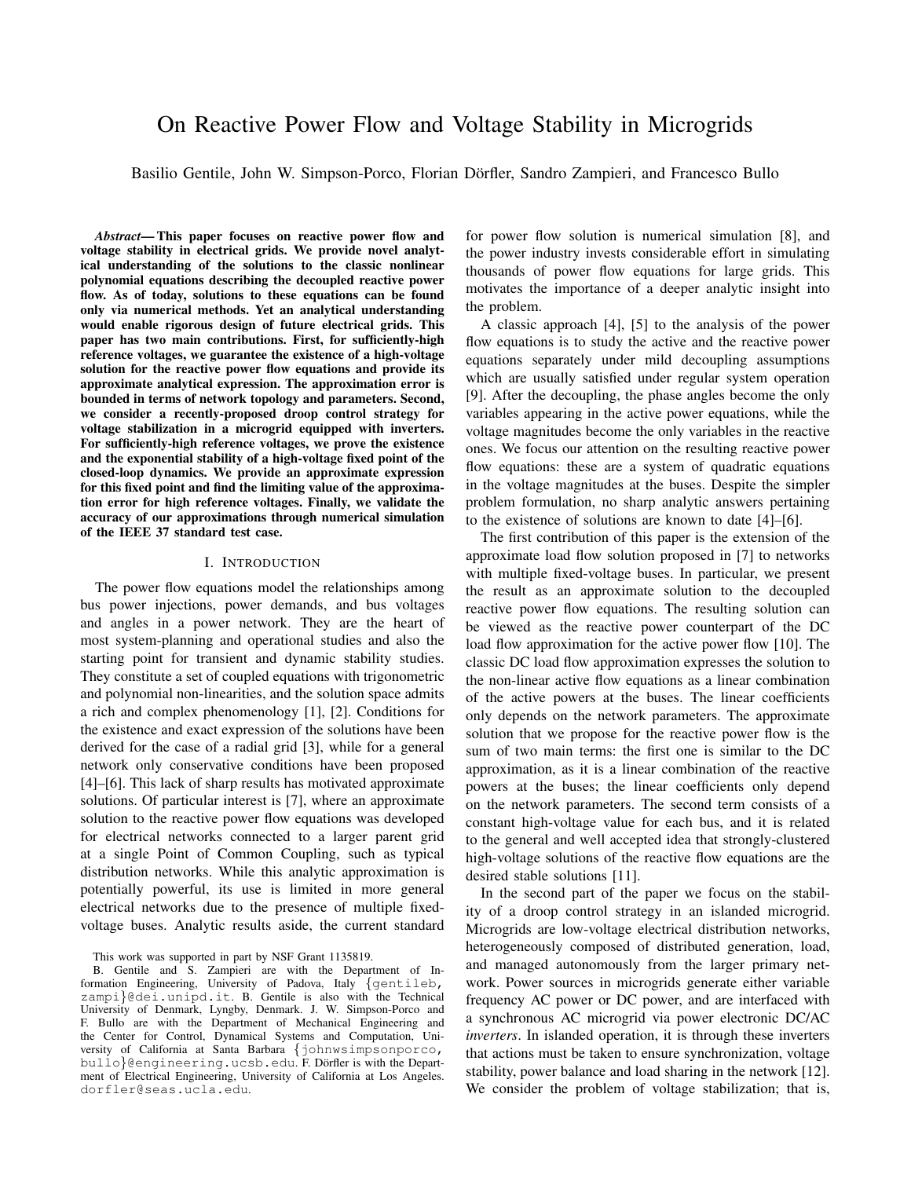# On Reactive Power Flow and Voltage Stability in Microgrids

Basilio Gentile, John W. Simpson-Porco, Florian Dörfler, Sandro Zampieri, and Francesco Bullo

*Abstract*— This paper focuses on reactive power flow and voltage stability in electrical grids. We provide novel analytical understanding of the solutions to the classic nonlinear polynomial equations describing the decoupled reactive power flow. As of today, solutions to these equations can be found only via numerical methods. Yet an analytical understanding would enable rigorous design of future electrical grids. This paper has two main contributions. First, for sufficiently-high reference voltages, we guarantee the existence of a high-voltage solution for the reactive power flow equations and provide its approximate analytical expression. The approximation error is bounded in terms of network topology and parameters. Second, we consider a recently-proposed droop control strategy for voltage stabilization in a microgrid equipped with inverters. For sufficiently-high reference voltages, we prove the existence and the exponential stability of a high-voltage fixed point of the closed-loop dynamics. We provide an approximate expression for this fixed point and find the limiting value of the approximation error for high reference voltages. Finally, we validate the accuracy of our approximations through numerical simulation of the IEEE 37 standard test case.

#### I. INTRODUCTION

The power flow equations model the relationships among bus power injections, power demands, and bus voltages and angles in a power network. They are the heart of most system-planning and operational studies and also the starting point for transient and dynamic stability studies. They constitute a set of coupled equations with trigonometric and polynomial non-linearities, and the solution space admits a rich and complex phenomenology [1], [2]. Conditions for the existence and exact expression of the solutions have been derived for the case of a radial grid [3], while for a general network only conservative conditions have been proposed [4]–[6]. This lack of sharp results has motivated approximate solutions. Of particular interest is [7], where an approximate solution to the reactive power flow equations was developed for electrical networks connected to a larger parent grid at a single Point of Common Coupling, such as typical distribution networks. While this analytic approximation is potentially powerful, its use is limited in more general electrical networks due to the presence of multiple fixedvoltage buses. Analytic results aside, the current standard

This work was supported in part by NSF Grant 1135819.

B. Gentile and S. Zampieri are with the Department of Information Engineering, University of Padova, Italy *{*gentileb, zampi*}*@dei.unipd.it. B. Gentile is also with the Technical University of Denmark, Lyngby, Denmark. J. W. Simpson-Porco and F. Bullo are with the Department of Mechanical Engineering and the Center for Control, Dynamical Systems and Computation, University of California at Santa Barbara *{*johnwsimpsonporco, bullo}@engineering.ucsb.edu. F. Dörfler is with the Department of Electrical Engineering, University of California at Los Angeles. dorfler@seas.ucla.edu.

for power flow solution is numerical simulation [8], and the power industry invests considerable effort in simulating thousands of power flow equations for large grids. This motivates the importance of a deeper analytic insight into the problem.

A classic approach [4], [5] to the analysis of the power flow equations is to study the active and the reactive power equations separately under mild decoupling assumptions which are usually satisfied under regular system operation [9]. After the decoupling, the phase angles become the only variables appearing in the active power equations, while the voltage magnitudes become the only variables in the reactive ones. We focus our attention on the resulting reactive power flow equations: these are a system of quadratic equations in the voltage magnitudes at the buses. Despite the simpler problem formulation, no sharp analytic answers pertaining to the existence of solutions are known to date [4]–[6].

The first contribution of this paper is the extension of the approximate load flow solution proposed in [7] to networks with multiple fixed-voltage buses. In particular, we present the result as an approximate solution to the decoupled reactive power flow equations. The resulting solution can be viewed as the reactive power counterpart of the DC load flow approximation for the active power flow [10]. The classic DC load flow approximation expresses the solution to the non-linear active flow equations as a linear combination of the active powers at the buses. The linear coefficients only depends on the network parameters. The approximate solution that we propose for the reactive power flow is the sum of two main terms: the first one is similar to the DC approximation, as it is a linear combination of the reactive powers at the buses; the linear coefficients only depend on the network parameters. The second term consists of a constant high-voltage value for each bus, and it is related to the general and well accepted idea that strongly-clustered high-voltage solutions of the reactive flow equations are the desired stable solutions [11].

In the second part of the paper we focus on the stability of a droop control strategy in an islanded microgrid. Microgrids are low-voltage electrical distribution networks, heterogeneously composed of distributed generation, load, and managed autonomously from the larger primary network. Power sources in microgrids generate either variable frequency AC power or DC power, and are interfaced with a synchronous AC microgrid via power electronic DC/AC *inverters*. In islanded operation, it is through these inverters that actions must be taken to ensure synchronization, voltage stability, power balance and load sharing in the network [12]. We consider the problem of voltage stabilization; that is,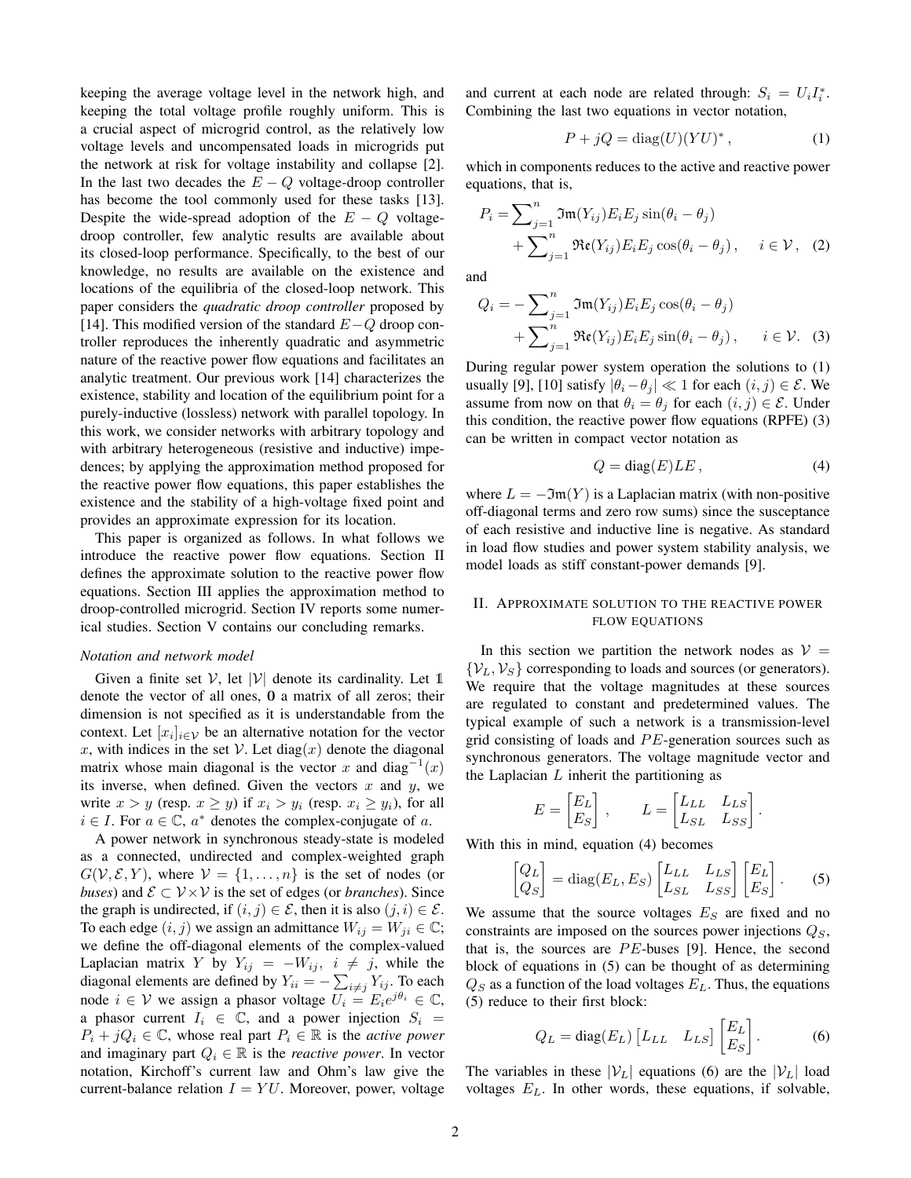keeping the average voltage level in the network high, and keeping the total voltage profile roughly uniform. This is a crucial aspect of microgrid control, as the relatively low voltage levels and uncompensated loads in microgrids put the network at risk for voltage instability and collapse [2]. In the last two decades the  $E - Q$  voltage-droop controller has become the tool commonly used for these tasks [13]. Despite the wide-spread adoption of the  $E - Q$  voltagedroop controller, few analytic results are available about its closed-loop performance. Specifically, to the best of our knowledge, no results are available on the existence and locations of the equilibria of the closed-loop network. This paper considers the *quadratic droop controller* proposed by [14]. This modified version of the standard  $E-Q$  droop controller reproduces the inherently quadratic and asymmetric nature of the reactive power flow equations and facilitates an analytic treatment. Our previous work [14] characterizes the existence, stability and location of the equilibrium point for a purely-inductive (lossless) network with parallel topology. In this work, we consider networks with arbitrary topology and with arbitrary heterogeneous (resistive and inductive) impedences; by applying the approximation method proposed for the reactive power flow equations, this paper establishes the existence and the stability of a high-voltage fixed point and provides an approximate expression for its location.

This paper is organized as follows. In what follows we introduce the reactive power flow equations. Section II defines the approximate solution to the reactive power flow equations. Section III applies the approximation method to droop-controlled microgrid. Section IV reports some numerical studies. Section V contains our concluding remarks.

#### *Notation and network model*

Given a finite set  $V$ , let  $|V|$  denote its cardinality. Let 1 denote the vector of all ones, 0 a matrix of all zeros; their dimension is not specified as it is understandable from the context. Let  $[x_i]_{i \in \mathcal{V}}$  be an alternative notation for the vector x, with indices in the set *V*. Let diag(x) denote the diagonal matrix whose main diagonal is the vector *x* and diag<sup>-1</sup>(*x*) its inverse, when defined. Given the vectors  $x$  and  $y$ , we write  $x > y$  (resp.  $x \geq y$ ) if  $x_i > y_i$  (resp.  $x_i \geq y_i$ ), for all  $i \in I$ . For  $a \in \mathbb{C}$ ,  $a^*$  denotes the complex-conjugate of *a*.

A power network in synchronous steady-state is modeled as a connected, undirected and complex-weighted graph  $G(V, \mathcal{E}, Y)$ , where  $V = \{1, \ldots, n\}$  is the set of nodes (or *buses*) and  $\mathcal{E} \subset \mathcal{V} \times \mathcal{V}$  is the set of edges (or *branches*). Since the graph is undirected, if  $(i, j) \in \mathcal{E}$ , then it is also  $(j, i) \in \mathcal{E}$ . To each edge  $(i, j)$  we assign an admittance  $W_{ij} = W_{ji} \in \mathbb{C}$ ; we define the off-diagonal elements of the complex-valued Laplacian matrix *Y* by  $Y_{ij} = -W_{ij}$ ,  $i \neq j$ , while the diagonal elements are defined by  $Y_{ii} = -\sum_{i \neq j} Y_{ij}$ . To each node  $i \in V$  we assign a phasor voltage  $U_i = E_i e^{j\theta_i} \in \mathbb{C}$ , a phasor current  $I_i \in \mathbb{C}$ , and a power injection  $S_i$  $P_i + jQ_i \in \mathbb{C}$ , whose real part  $P_i \in \mathbb{R}$  is the *active power* and imaginary part  $Q_i \in \mathbb{R}$  is the *reactive power*. In vector notation, Kirchoff's current law and Ohm's law give the current-balance relation  $I = YU$ . Moreover, power, voltage

and current at each node are related through:  $S_i = U_i I_i^*$ . Combining the last two equations in vector notation,

$$
P + jQ = \text{diag}(U)(YU)^{*},\tag{1}
$$

which in components reduces to the active and reactive power equations, that is,

$$
P_i = \sum_{j=1}^n \mathfrak{Im}(Y_{ij}) E_i E_j \sin(\theta_i - \theta_j)
$$
  
+ 
$$
\sum_{j=1}^n \mathfrak{Re}(Y_{ij}) E_i E_j \cos(\theta_i - \theta_j), \quad i \in \mathcal{V}, \quad (2)
$$

and

$$
Q_i = -\sum_{j=1}^n \mathfrak{Im}(Y_{ij}) E_i E_j \cos(\theta_i - \theta_j)
$$
  
+ 
$$
\sum_{j=1}^n \mathfrak{Re}(Y_{ij}) E_i E_j \sin(\theta_i - \theta_j), \quad i \in \mathcal{V}.
$$
 (3)

During regular power system operation the solutions to (1) usually [9], [10] satisfy  $|\theta_i - \theta_j| \ll 1$  for each  $(i, j) \in \mathcal{E}$ . We assume from now on that  $\theta_i = \theta_j$  for each  $(i, j) \in \mathcal{E}$ . Under this condition, the reactive power flow equations (RPFE) (3) can be written in compact vector notation as

$$
Q = \text{diag}(E)LE, \qquad (4)
$$

where  $L = -\mathfrak{Im}(Y)$  is a Laplacian matrix (with non-positive off-diagonal terms and zero row sums) since the susceptance of each resistive and inductive line is negative. As standard in load flow studies and power system stability analysis, we model loads as stiff constant-power demands [9].

## II. APPROXIMATE SOLUTION TO THE REACTIVE POWER FLOW EQUATIONS

In this section we partition the network nodes as  $V =$  $\{V_L, V_S\}$  corresponding to loads and sources (or generators). We require that the voltage magnitudes at these sources are regulated to constant and predetermined values. The typical example of such a network is a transmission-level grid consisting of loads and PE-generation sources such as synchronous generators. The voltage magnitude vector and the Laplacian *L* inherit the partitioning as

$$
E = \begin{bmatrix} E_L \\ E_S \end{bmatrix}, \qquad L = \begin{bmatrix} L_{LL} & L_{LS} \\ L_{SL} & L_{SS} \end{bmatrix}.
$$

With this in mind, equation (4) becomes

$$
\begin{bmatrix} Q_L \\ Q_S \end{bmatrix} = \text{diag}(E_L, E_S) \begin{bmatrix} L_{LL} & L_{LS} \\ L_{SL} & L_{SS} \end{bmatrix} \begin{bmatrix} E_L \\ E_S \end{bmatrix}.
$$
 (5)

We assume that the source voltages  $E<sub>S</sub>$  are fixed and no constraints are imposed on the sources power injections *QS*, that is, the sources are *PE*-buses [9]. Hence, the second block of equations in (5) can be thought of as determining  $Q_S$  as a function of the load voltages  $E_L$ . Thus, the equations (5) reduce to their first block:

$$
Q_L = \text{diag}(E_L) \begin{bmatrix} L_{LL} & L_{LS} \end{bmatrix} \begin{bmatrix} E_L \\ E_S \end{bmatrix}.
$$
 (6)

The variables in these  $|V_L|$  equations (6) are the  $|V_L|$  load voltages *EL*. In other words, these equations, if solvable,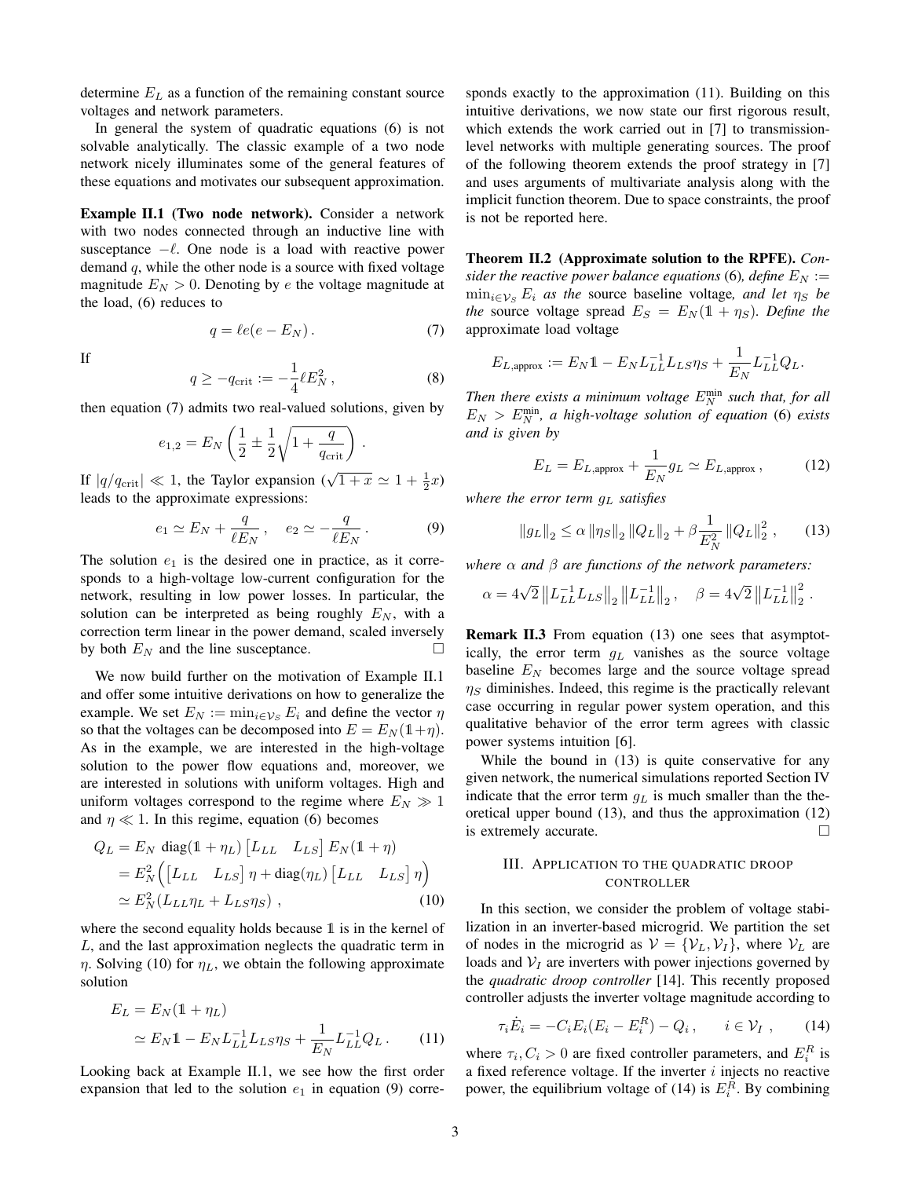determine *E<sup>L</sup>* as a function of the remaining constant source voltages and network parameters.

In general the system of quadratic equations (6) is not solvable analytically. The classic example of a two node network nicely illuminates some of the general features of these equations and motivates our subsequent approximation.

Example II.1 (Two node network). Consider a network with two nodes connected through an inductive line with susceptance  $-\ell$ . One node is a load with reactive power demand *q*, while the other node is a source with fixed voltage magnitude  $E_N > 0$ . Denoting by *e* the voltage magnitude at the load, (6) reduces to

$$
q = \ell e(e - E_N). \tag{7}
$$

If

$$
q \ge -q_{\rm crit} := -\frac{1}{4} \ell E_N^2 \,, \tag{8}
$$

then equation (7) admits two real-valued solutions, given by

$$
e_{1,2} = E_N \left( \frac{1}{2} \pm \frac{1}{2} \sqrt{1 + \frac{q}{q_{\text{crit}}}} \right).
$$

If  $|q/q_{\text{crit}}| \ll 1$ , the Taylor expansion  $(\sqrt{1+x} \approx 1 + \frac{1}{2}x)$ leads to the approximate expressions:

$$
e_1 \simeq E_N + \frac{q}{\ell E_N}, \quad e_2 \simeq -\frac{q}{\ell E_N}.
$$
 (9)

The solution  $e_1$  is the desired one in practice, as it corresponds to a high-voltage low-current configuration for the network, resulting in low power losses. In particular, the solution can be interpreted as being roughly  $E_N$ , with a correction term linear in the power demand, scaled inversely by both  $E_N$  and the line susceptance.  $\Box$ 

We now build further on the motivation of Example II.1 and offer some intuitive derivations on how to generalize the example. We set  $E_N := \min_{i \in \mathcal{V}_S} E_i$  and define the vector  $\eta$ so that the voltages can be decomposed into  $E = E<sub>N</sub>(1+\eta)$ . As in the example, we are interested in the high-voltage solution to the power flow equations and, moreover, we are interested in solutions with uniform voltages. High and uniform voltages correspond to the regime where  $E_N \gg 1$ and  $\eta \ll 1$ . In this regime, equation (6) becomes

$$
Q_L = E_N \operatorname{diag}(1 + \eta_L) [L_{LL} L_{LS}] E_N (1 + \eta)
$$
  
=  $E_N^2 \Big( [L_{LL} L_{LS}] \eta + \operatorname{diag}(\eta_L) [L_{LL} L_{LS}] \eta \Big)$   
 $\simeq E_N^2 (L_{LL} \eta_L + L_{LS} \eta_S) ,$  (10)

where the second equality holds because 1 is in the kernel of *L*, and the last approximation neglects the quadratic term in  $\eta$ . Solving (10) for  $\eta_L$ , we obtain the following approximate solution

$$
E_L = E_N(\mathbb{1} + \eta_L)
$$
  
\n
$$
\simeq E_N \mathbb{1} - E_N L_{LL}^{-1} L_{LS} \eta_S + \frac{1}{E_N} L_{LL}^{-1} Q_L.
$$
 (11)

Looking back at Example II.1, we see how the first order expansion that led to the solution  $e_1$  in equation (9) corresponds exactly to the approximation (11). Building on this intuitive derivations, we now state our first rigorous result, which extends the work carried out in [7] to transmissionlevel networks with multiple generating sources. The proof of the following theorem extends the proof strategy in [7] and uses arguments of multivariate analysis along with the implicit function theorem. Due to space constraints, the proof is not be reported here.

Theorem II.2 (Approximate solution to the RPFE). *Consider the reactive power balance equations* (6)*, define*  $E_N :=$  $\min_{i \in \mathcal{V}_S} E_i$  *as the source baseline voltage, and let*  $\eta_S$  *be the* source voltage spread  $E_S = E_N(1 + \eta_S)$ *. Define the* approximate load voltage

$$
E_{L,\text{approx}} := E_N \mathbb{1} - E_N L_{LL}^{-1} L_{LS} \eta_S + \frac{1}{E_N} L_{LL}^{-1} Q_L.
$$

Then there exists a minimum voltage  $E_N^{\text{min}}$  such that, for all  $E_N > E_N^{\text{min}}$ , a high-voltage solution of equation (6) exists *and is given by*

$$
E_L = E_{L, \text{approx}} + \frac{1}{E_N} g_L \simeq E_{L, \text{approx}} , \qquad (12)
$$

*where the error term g<sup>L</sup> satisfies*

$$
\|g_L\|_2 \le \alpha \left\|\eta_S\right\|_2 \left\|Q_L\right\|_2 + \beta \frac{1}{E_N^2} \left\|Q_L\right\|_2^2, \qquad (13)
$$

*where*  $\alpha$  *and*  $\beta$  *are functions of the network parameters:* 

$$
\alpha = 4\sqrt{2} \|L_{LL}^{-1} L_{LS}\|_2 \|L_{LL}^{-1}\|_2, \quad \beta = 4\sqrt{2} \|L_{LL}^{-1}\|_2^2.
$$

Remark II.3 From equation (13) one sees that asymptotically, the error term *g<sup>L</sup>* vanishes as the source voltage baseline *E<sup>N</sup>* becomes large and the source voltage spread  $\eta_S$  diminishes. Indeed, this regime is the practically relevant case occurring in regular power system operation, and this qualitative behavior of the error term agrees with classic power systems intuition [6].

While the bound in (13) is quite conservative for any given network, the numerical simulations reported Section IV indicate that the error term *g<sup>L</sup>* is much smaller than the theoretical upper bound (13), and thus the approximation (12) is extremely accurate.  $\Box$ 

## III. APPLICATION TO THE QUADRATIC DROOP CONTROLLER

In this section, we consider the problem of voltage stabilization in an inverter-based microgrid. We partition the set of nodes in the microgrid as  $V = \{V_L, V_I\}$ , where  $V_L$  are loads and  $V_I$  are inverters with power injections governed by the *quadratic droop controller* [14]. This recently proposed controller adjusts the inverter voltage magnitude according to

$$
\tau_i \dot{E}_i = -C_i E_i (E_i - E_i^R) - Q_i , \qquad i \in \mathcal{V}_I , \qquad (14)
$$

where  $\tau_i$ ,  $C_i > 0$  are fixed controller parameters, and  $E_i^R$  is a fixed reference voltage. If the inverter *i* injects no reactive power, the equilibrium voltage of (14) is  $E_i^R$ . By combining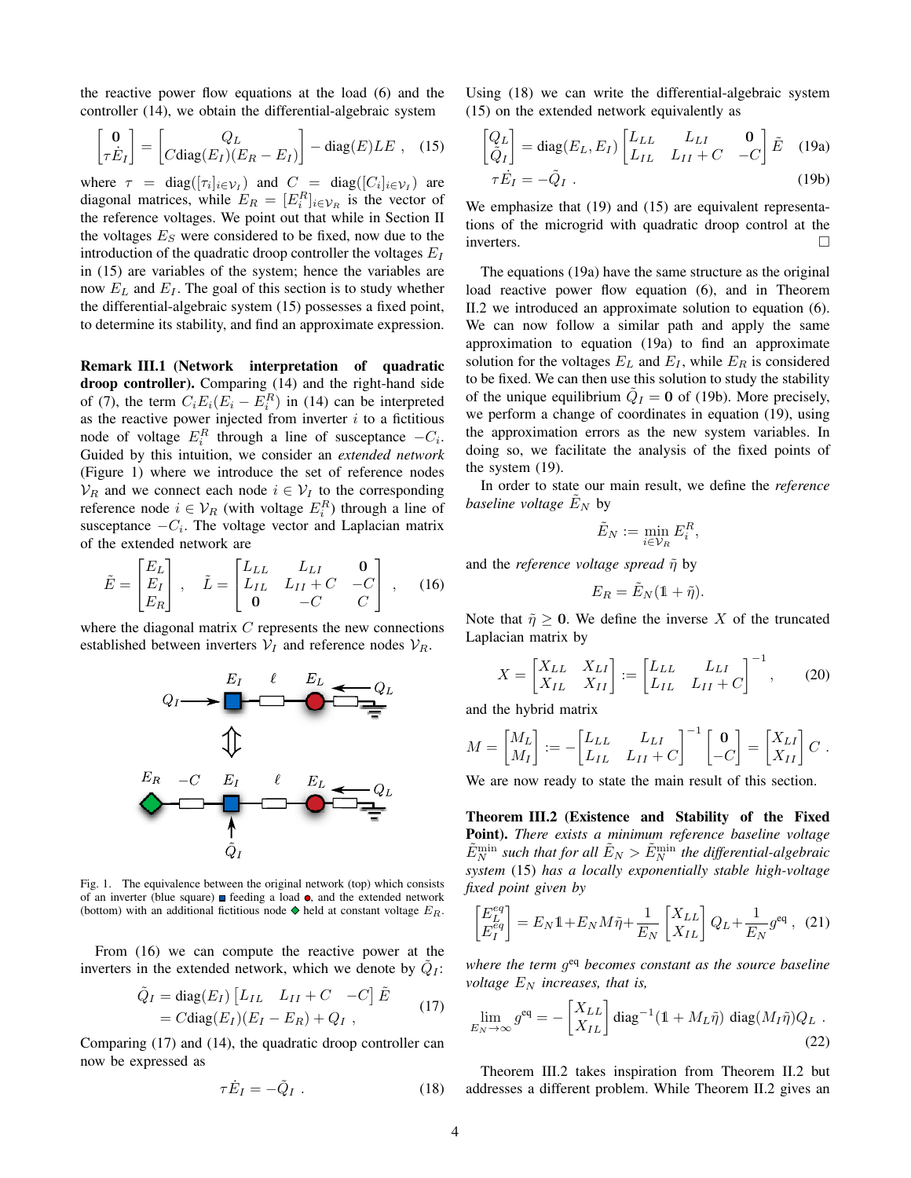the reactive power flow equations at the load (6) and the controller (14), we obtain the differential-algebraic system

$$
\begin{bmatrix} \mathbf{0} \\ \tau \dot{E}_I \end{bmatrix} = \begin{bmatrix} Q_L \\ C \text{diag}(E_I)(E_R - E_I) \end{bmatrix} - \text{diag}(E) L E , \quad (15)
$$

where  $\tau = \text{diag}([\tau_i]_{i \in \mathcal{V}_I})$  and  $C = \text{diag}([C_i]_{i \in \mathcal{V}_I})$  are diagonal matrices, while  $E_R = [E_i^R]_{i \in \mathcal{V}_R}$  is the vector of the reference voltages. We point out that while in Section II the voltages  $E<sub>S</sub>$  were considered to be fixed, now due to the introduction of the quadratic droop controller the voltages  $E_I$ in (15) are variables of the system; hence the variables are now *E<sup>L</sup>* and *E<sup>I</sup>* . The goal of this section is to study whether the differential-algebraic system (15) possesses a fixed point, to determine its stability, and find an approximate expression.

Remark III.1 (Network interpretation of quadratic droop controller). Comparing (14) and the right-hand side of (7), the term  $C_i E_i (E_i - E_i^R)$  in (14) can be interpreted as the reactive power injected from inverter  $i$  to a fictitious node of voltage  $E_i^R$  through a line of susceptance  $-C_i$ . Guided by this intuition, we consider an *extended network* (Figure 1) where we introduce the set of reference nodes  $V_R$  and we connect each node  $i \in V_I$  to the corresponding reference node  $i \in V_R$  (with voltage  $E_i^R$ ) through a line of susceptance  $-C_i$ . The voltage vector and Laplacian matrix of the extended network are

$$
\tilde{E} = \begin{bmatrix} E_L \\ E_I \\ E_R \end{bmatrix}, \quad \tilde{L} = \begin{bmatrix} L_{LL} & L_{LI} & \mathbf{0} \\ L_{IL} & L_{II} + C & -C \\ \mathbf{0} & -C & C \end{bmatrix}, \quad (16)
$$

where the diagonal matrix *C* represents the new connections established between inverters  $V_I$  and reference nodes  $V_R$ .



Fig. 1. The equivalence between the original network (top) which consists of an inverter (blue square)  $\blacksquare$  feeding a load  $\bullet$ , and the extended network (bottom) with an additional fictitious node  $\blacklozenge$  held at constant voltage  $E_R$ .

From (16) we can compute the reactive power at the inverters in the extended network, which we denote by  $Q_I$ :

$$
\tilde{Q}_I = \text{diag}(E_I) \begin{bmatrix} L_{IL} & L_{II} + C & -C \end{bmatrix} \tilde{E}
$$
  
=  $C \text{diag}(E_I) (E_I - E_R) + Q_I$ , (17)

Comparing (17) and (14), the quadratic droop controller can now be expressed as

$$
\tau \dot{E}_I = -\tilde{Q}_I . \qquad (18)
$$

Using (18) we can write the differential-algebraic system (15) on the extended network equivalently as

$$
\begin{bmatrix} Q_L \\ \tilde{Q}_I \end{bmatrix} = \text{diag}(E_L, E_I) \begin{bmatrix} L_{LL} & L_{LI} & \mathbf{0} \\ L_{IL} & L_{II} + C & -C \end{bmatrix} \tilde{E} \quad (19a)
$$

$$
\tau \dot{E}_I = -\tilde{Q}_I \ . \tag{19b}
$$

We emphasize that (19) and (15) are equivalent representations of the microgrid with quadratic droop control at the inverters.

The equations (19a) have the same structure as the original load reactive power flow equation (6), and in Theorem II.2 we introduced an approximate solution to equation (6). We can now follow a similar path and apply the same approximation to equation (19a) to find an approximate solution for the voltages  $E_L$  and  $E_I$ , while  $E_R$  is considered to be fixed. We can then use this solution to study the stability of the unique equilibrium  $Q_I = 0$  of (19b). More precisely, we perform a change of coordinates in equation (19), using the approximation errors as the new system variables. In doing so, we facilitate the analysis of the fixed points of the system (19).

In order to state our main result, we define the *reference baseline voltage*  $E_N$  by

$$
\tilde{E}_N := \min_{i \in \mathcal{V}_R} E_i^R,
$$

and the *reference voltage spread*  $\tilde{\eta}$  by

$$
E_R = \tilde{E}_N(1+\tilde{\eta}).
$$

Note that  $\tilde{\eta} \ge 0$ . We define the inverse X of the truncated Laplacian matrix by

$$
X = \begin{bmatrix} X_{LL} & X_{LI} \\ X_{IL} & X_{II} \end{bmatrix} := \begin{bmatrix} L_{LL} & L_{LI} \\ L_{IL} & L_{II} + C \end{bmatrix}^{-1}, \qquad (20)
$$

and the hybrid matrix

$$
M = \begin{bmatrix} M_L \\ M_I \end{bmatrix} := - \begin{bmatrix} L_{LL} & L_{LI} \\ L_{IL} & L_{II} + C \end{bmatrix}^{-1} \begin{bmatrix} \mathbf{0} \\ -C \end{bmatrix} = \begin{bmatrix} X_{LI} \\ X_{II} \end{bmatrix} C.
$$

We are now ready to state the main result of this section.

Theorem III.2 (Existence and Stability of the Fixed Point). *There exists a minimum reference baseline voltage*  $\tilde{E}_N^{\text{min}}$  such that for all  $\tilde{E}_N > \tilde{E}_N^{\text{min}}$  the differential-algebraic *system* (15) *has a locally exponentially stable high-voltage fixed point given by*

$$
\begin{bmatrix} E_L^{eq} \\ E_I^{eq} \end{bmatrix} = E_N \mathbb{1} + E_N M \tilde{\eta} + \frac{1}{E_N} \begin{bmatrix} X_{LL} \\ X_{IL} \end{bmatrix} Q_L + \frac{1}{E_N} g^{\text{eq}} \,, \tag{21}
$$

*where the term g*eq *becomes constant as the source baseline voltage*  $E_N$  *increases, that is,* 

$$
\lim_{E_N \to \infty} g^{\text{eq}} = -\begin{bmatrix} X_{LL} \\ X_{IL} \end{bmatrix} \text{diag}^{-1} (1 + M_L \tilde{\eta}) \text{diag}(M_I \tilde{\eta}) Q_L .
$$
\n(22)

Theorem III.2 takes inspiration from Theorem II.2 but addresses a different problem. While Theorem II.2 gives an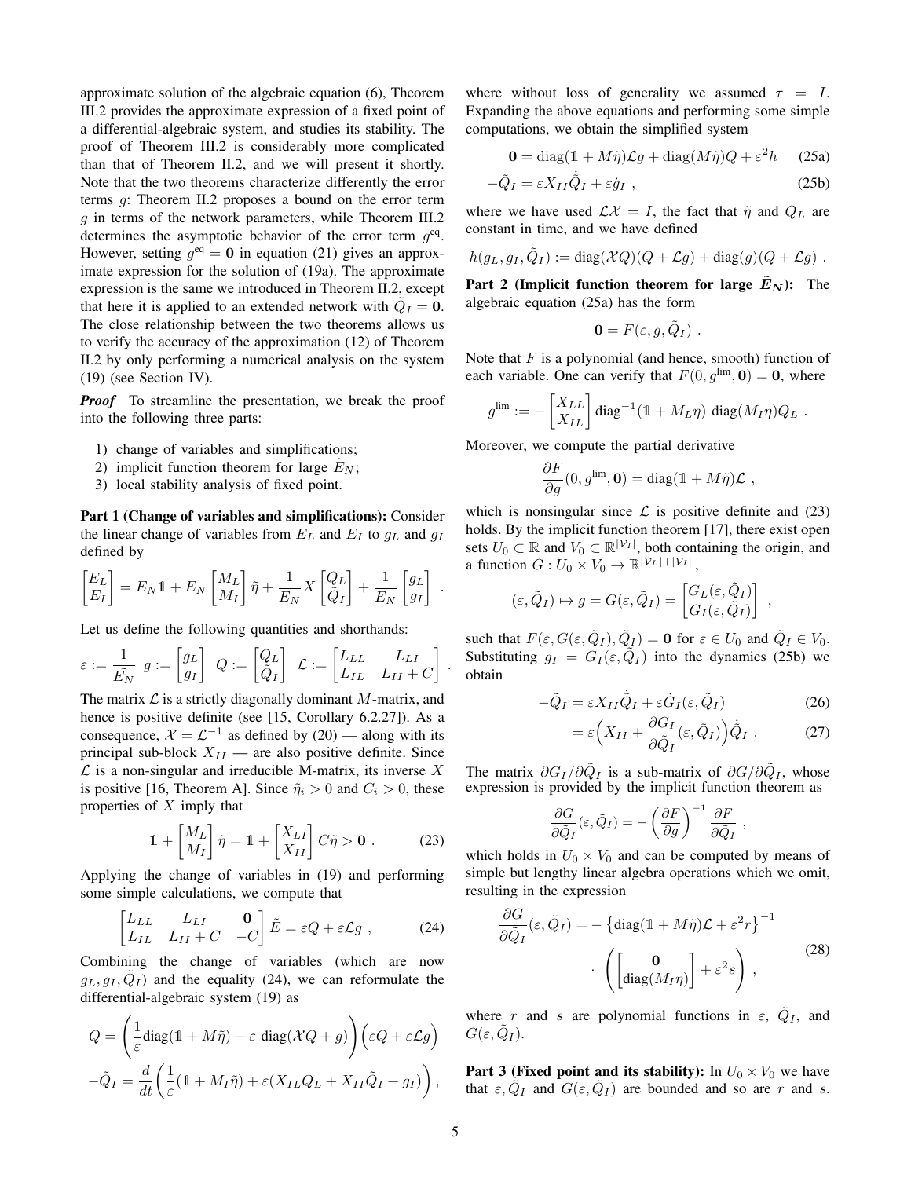approximate solution of the algebraic equation (6), Theorem III.2 provides the approximate expression of a fixed point of a differential-algebraic system, and studies its stability. The proof of Theorem III.2 is considerably more complicated than that of Theorem II.2, and we will present it shortly. Note that the two theorems characterize differently the error terms *g*: Theorem II.2 proposes a bound on the error term *g* in terms of the network parameters, while Theorem III.2 determines the asymptotic behavior of the error term *g*eq. However, setting  $q^{eq} = 0$  in equation (21) gives an approximate expression for the solution of (19a). The approximate expression is the same we introduced in Theorem II.2, except that here it is applied to an extended network with  $\ddot{Q}_I = 0$ . The close relationship between the two theorems allows us to verify the accuracy of the approximation (12) of Theorem II.2 by only performing a numerical analysis on the system (19) (see Section IV).

*Proof* To streamline the presentation, we break the proof into the following three parts:

- 1) change of variables and simplifications;
- 2) implicit function theorem for large  $E_N$ ;
- 3) local stability analysis of fixed point.

Part 1 (Change of variables and simplifications): Consider the linear change of variables from  $E_L$  and  $E_I$  to  $g_L$  and  $g_I$ defined by

$$
\begin{bmatrix} E_L \\ E_I \end{bmatrix} = E_N \mathbb{1} + E_N \begin{bmatrix} M_L \\ M_I \end{bmatrix} \tilde{\eta} + \frac{1}{E_N} X \begin{bmatrix} Q_L \\ \tilde{Q}_I \end{bmatrix} + \frac{1}{E_N} \begin{bmatrix} g_L \\ g_I \end{bmatrix}
$$

Let us define the following quantities and shorthands:

$$
\varepsilon := \frac{1}{\tilde{E_N}} \ g := \begin{bmatrix} g_L \\ g_I \end{bmatrix} \ Q := \begin{bmatrix} Q_L \\ \tilde{Q}_I \end{bmatrix} \ \mathcal{L} := \begin{bmatrix} L_{LL} & L_{LI} \\ L_{IL} & L_{II} + C \end{bmatrix}
$$

The matrix *L* is a strictly diagonally dominant *M*-matrix, and hence is positive definite (see [15, Corollary 6.2.27]). As a consequence,  $\mathcal{X} = \mathcal{L}^{-1}$  as defined by (20) — along with its principal sub-block  $X_{II}$  — are also positive definite. Since *L* is a non-singular and irreducible M-matrix, its inverse *X* is positive [16, Theorem A]. Since  $\tilde{\eta}_i > 0$  and  $C_i > 0$ , these properties of *X* imply that

$$
\mathbb{1} + \begin{bmatrix} M_L \\ M_I \end{bmatrix} \tilde{\eta} = \mathbb{1} + \begin{bmatrix} X_{LI} \\ X_{II} \end{bmatrix} C \tilde{\eta} > \mathbf{0} . \tag{23}
$$

Applying the change of variables in (19) and performing some simple calculations, we compute that

$$
\begin{bmatrix} L_{LL} & L_{LI} & \mathbf{0} \\ L_{IL} & L_{II} + C & -C \end{bmatrix} \tilde{E} = \varepsilon Q + \varepsilon \mathcal{L}g , \qquad (24)
$$

Combining the change of variables (which are now  $q_L, q_I, \tilde{Q}_I$  and the equality (24), we can reformulate the differential-algebraic system (19) as

$$
Q = \left(\frac{1}{\varepsilon}\text{diag}(\mathbf{1} + M\tilde{\eta}) + \varepsilon \text{ diag}(\mathcal{X}Q + g)\right) \left(\varepsilon Q + \varepsilon \mathcal{L}g\right)
$$

$$
-\tilde{Q}_I = \frac{d}{dt}\left(\frac{1}{\varepsilon}(\mathbf{1} + M_I\tilde{\eta}) + \varepsilon (X_{IL}Q_L + X_{II}\tilde{Q}_I + g_I)\right),
$$

where without loss of generality we assumed  $\tau = I$ . Expanding the above equations and performing some simple computations, we obtain the simplified system

$$
\mathbf{0} = \text{diag}(1 + M\tilde{\eta})\mathcal{L}g + \text{diag}(M\tilde{\eta})Q + \varepsilon^2 h \qquad (25a)
$$

$$
-\tilde{Q}_I = \varepsilon X_{II}\dot{\tilde{Q}}_I + \varepsilon \dot{g}_I , \qquad (25b)
$$

where we have used  $\mathcal{L}\mathcal{X} = I$ , the fact that  $\tilde{\eta}$  and  $Q_L$  are constant in time, and we have defined

$$
h(g_L,g_I,\tilde{Q}_I):=\mathrm{diag}(\mathcal{X}Q)(Q+\mathcal{L}g)+\mathrm{diag}(g)(Q+\mathcal{L}g).
$$

Part 2 (Implicit function theorem for large  $\tilde{E}_N$ ): The algebraic equation (25a) has the form

$$
\mathbf{0}=F(\varepsilon, g, \tilde{Q}_I) \ .
$$

Note that *F* is a polynomial (and hence, smooth) function of each variable. One can verify that  $F(0, g^{\text{lim}}, 0) = 0$ , where

$$
g^{\rm lim}:=-\begin{bmatrix} X_{LL}\\ X_{IL} \end{bmatrix} \text{diag}^{-1}(\mathbb{1}+M_L\eta) \text{ diag}(M_I\eta) Q_L\ .
$$

Moreover, we compute the partial derivative

$$
\frac{\partial F}{\partial g}(0,g^{\text{lim}},\mathbf{0})=\text{diag}(\mathbb{1}+M\tilde{\eta})\mathcal{L} ,
$$

which is nonsingular since  $\mathcal L$  is positive definite and (23) holds. By the implicit function theorem [17], there exist open sets  $U_0 \subset \mathbb{R}$  and  $V_0 \subset \mathbb{R}^{|\mathcal{V}_I|}$ , both containing the origin, and a function  $G: U_0 \times V_0 \to \mathbb{R}^{|\mathcal{V}_L|+|\mathcal{V}_I|}$ ,

$$
(\varepsilon, \tilde{Q}_I) \mapsto g = G(\varepsilon, \tilde{Q}_I) = \begin{bmatrix} G_L(\varepsilon, \tilde{Q}_I) \\ G_I(\varepsilon, \tilde{Q}_I) \end{bmatrix} ,
$$

such that  $F(\varepsilon, G(\varepsilon, \tilde{Q}_I), \tilde{Q}_I) = \mathbf{0}$  for  $\varepsilon \in U_0$  and  $\tilde{Q}_I \in V_0$ . Substituting  $q_I = G_I(\varepsilon, \tilde{Q}_I)$  into the dynamics (25b) we obtain

$$
-\tilde{Q}_I = \varepsilon X_{II}\dot{\tilde{Q}}_I + \varepsilon \dot{G}_I(\varepsilon, \tilde{Q}_I)
$$
\n(26)

$$
= \varepsilon \Big( X_{II} + \frac{\partial G_I}{\partial \tilde{Q}_I} (\varepsilon, \tilde{Q}_I) \Big) \dot{\tilde{Q}}_I . \tag{27}
$$

The matrix  $\partial G_I / \partial \tilde{Q}_I$  is a sub-matrix of  $\partial G / \partial \tilde{Q}_I$ , whose expression is provided by the implicit function theorem as

$$
\frac{\partial G}{\partial \tilde{Q}_I}(\varepsilon, \tilde{Q}_I) = -\left(\frac{\partial F}{\partial g}\right)^{-1} \frac{\partial F}{\partial \tilde{Q}_I} ,
$$

which holds in  $U_0 \times V_0$  and can be computed by means of simple but lengthy linear algebra operations which we omit, resulting in the expression

$$
\frac{\partial G}{\partial \tilde{Q}_I}(\varepsilon, \tilde{Q}_I) = -\left\{ \text{diag}(\mathbb{1} + M\tilde{\eta})\mathcal{L} + \varepsilon^2 r \right\}^{-1} \cdot \left( \begin{bmatrix} 0 \\ \text{diag}(M_I \eta) \end{bmatrix} + \varepsilon^2 s \right), \tag{28}
$$

where *r* and *s* are polynomial functions in  $\varepsilon$ ,  $\tilde{Q}_I$ , and  $G(\varepsilon, Q_I)$ .

**Part 3 (Fixed point and its stability):** In  $U_0 \times V_0$  we have that  $\varepsilon$ ,  $Q_I$  and  $G(\varepsilon, Q_I)$  are bounded and so are *r* and *s*.

*.*

*.*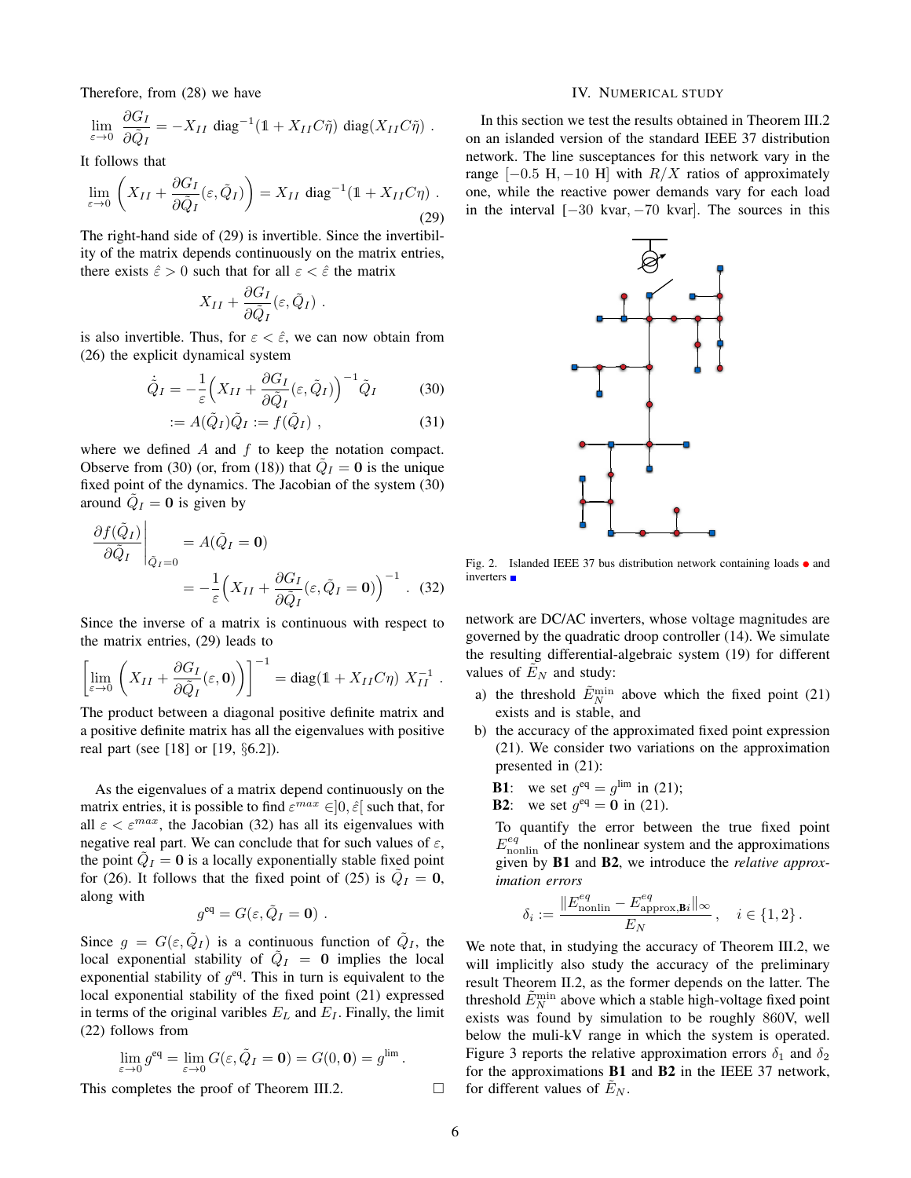Therefore, from (28) we have

$$
\lim_{\varepsilon \to 0} \frac{\partial G_I}{\partial \tilde{Q}_I} = -X_{II} \operatorname{diag}^{-1} (1 + X_{II} C \tilde{\eta}) \operatorname{diag} (X_{II} C \tilde{\eta}) .
$$

It follows that

$$
\lim_{\varepsilon \to 0} \left( X_{II} + \frac{\partial G_I}{\partial \tilde{Q}_I} (\varepsilon, \tilde{Q}_I) \right) = X_{II} \operatorname{diag}^{-1} (1 + X_{II} C \eta) .
$$
\n(29)

The right-hand side of (29) is invertible. Since the invertibility of the matrix depends continuously on the matrix entries, there exists  $\hat{\varepsilon} > 0$  such that for all  $\varepsilon < \hat{\varepsilon}$  the matrix

$$
X_{II}+\frac{\partial G_I}{\partial \tilde{Q}_I}(\varepsilon,\tilde{Q}_I) .
$$

is also invertible. Thus, for  $\varepsilon < \hat{\varepsilon}$ , we can now obtain from (26) the explicit dynamical system

$$
\dot{\tilde{Q}}_I = -\frac{1}{\varepsilon} \Big( X_{II} + \frac{\partial G_I}{\partial \tilde{Q}_I} (\varepsilon, \tilde{Q}_I) \Big)^{-1} \tilde{Q}_I \tag{30}
$$

$$
:= A(\tilde{Q}_I)\tilde{Q}_I := f(\tilde{Q}_I) , \qquad (31)
$$

where we defined *A* and *f* to keep the notation compact. Observe from (30) (or, from (18)) that  $\ddot{Q}_I = 0$  is the unique fixed point of the dynamics. The Jacobian of the system (30) around  $\ddot{Q}_I = 0$  is given by

$$
\frac{\partial f(\tilde{Q}_I)}{\partial \tilde{Q}_I} \Big|_{\tilde{Q}_I = 0} = A(\tilde{Q}_I = \mathbf{0})
$$
  
=  $-\frac{1}{\varepsilon} \Big( X_{II} + \frac{\partial G_I}{\partial \tilde{Q}_I} (\varepsilon, \tilde{Q}_I = \mathbf{0}) \Big)^{-1}$ . (32)

Since the inverse of a matrix is continuous with respect to the matrix entries, (29) leads to

$$
\left[\lim_{\varepsilon \to 0} \left( X_{II} + \frac{\partial G_I}{\partial \tilde{Q}_I}(\varepsilon, \mathbf{0}) \right) \right]^{-1} = \text{diag}(\mathbb{1} + X_{II} C \eta) X_{II}^{-1}.
$$

The product between a diagonal positive definite matrix and a positive definite matrix has all the eigenvalues with positive real part (see [18] or [19, *§*6.2]).

As the eigenvalues of a matrix depend continuously on the matrix entries, it is possible to find  $\varepsilon^{max} \in ]0, \hat{\varepsilon}]$  such that, for all  $\varepsilon < \varepsilon^{max}$ , the Jacobian (32) has all its eigenvalues with negative real part. We can conclude that for such values of  $\varepsilon$ , the point  $Q_I = 0$  is a locally exponentially stable fixed point for (26). It follows that the fixed point of (25) is  $Q_I = 0$ , along with

$$
g^{\text{eq}} = G(\varepsilon, \tilde{Q}_I = \mathbf{0}) \ .
$$

Since  $q = G(\varepsilon, Q_I)$  is a continuous function of  $\tilde{Q}_I$ , the local exponential stability of  $\tilde{Q}_I = 0$  implies the local exponential stability of  $g^{eq}$ . This in turn is equivalent to the local exponential stability of the fixed point (21) expressed in terms of the original varibles  $E_L$  and  $E_I$ . Finally, the limit (22) follows from

$$
\lim_{\varepsilon \to 0} g^{\text{eq}} = \lim_{\varepsilon \to 0} G(\varepsilon, \tilde{Q}_I = \mathbf{0}) = G(0, \mathbf{0}) = g^{\lim}.
$$

This completes the proof of Theorem III.2.  $\Box$ 

### IV. NUMERICAL STUDY

In this section we test the results obtained in Theorem III.2 on an islanded version of the standard IEEE 37 distribution network. The line susceptances for this network vary in the range  $[-0.5 \text{ H}, -10 \text{ H}]$  with *R/X* ratios of approximately one, while the reactive power demands vary for each load in the interval  $[-30 \text{ kvar}, -70 \text{ kvar}]$ . The sources in this



Fig. 2. Islanded IEEE 37 bus distribution network containing loads  $\bullet$  and inverters **n** 

network are DC/AC inverters, whose voltage magnitudes are governed by the quadratic droop controller (14). We simulate the resulting differential-algebraic system (19) for different values of  $E_N$  and study:

- a) the threshold  $\tilde{E}_N^{\text{min}}$  above which the fixed point (21) exists and is stable, and
- b) the accuracy of the approximated fixed point expression (21). We consider two variations on the approximation presented in (21):

**B1**: we set 
$$
g^{eq} = g^{\text{lim}}
$$
 in (21);

**B2**: we set 
$$
g^{eq} = 0
$$
 in (21).

To quantify the error between the true fixed point  $E_{\text{nonlin}}^{eq}$  of the nonlinear system and the approximations given by B1 and B2, we introduce the *relative approximation errors*

$$
\delta_i := \frac{\|E_{\text{nonlin}}^{eq} - E_{\text{approx},\mathbf{B}i}^{eq}\|_{\infty}}{E_N}, \quad i \in \{1, 2\}.
$$

We note that, in studying the accuracy of Theorem III.2, we will implicitly also study the accuracy of the preliminary result Theorem II.2, as the former depends on the latter. The threshold  $\tilde{E}_N^{\text{min}}$  above which a stable high-voltage fixed point exists was found by simulation to be roughly 860V, well below the muli-kV range in which the system is operated. Figure 3 reports the relative approximation errors  $\delta_1$  and  $\delta_2$ for the approximations B1 and B2 in the IEEE 37 network, for different values of  $E_N$ .